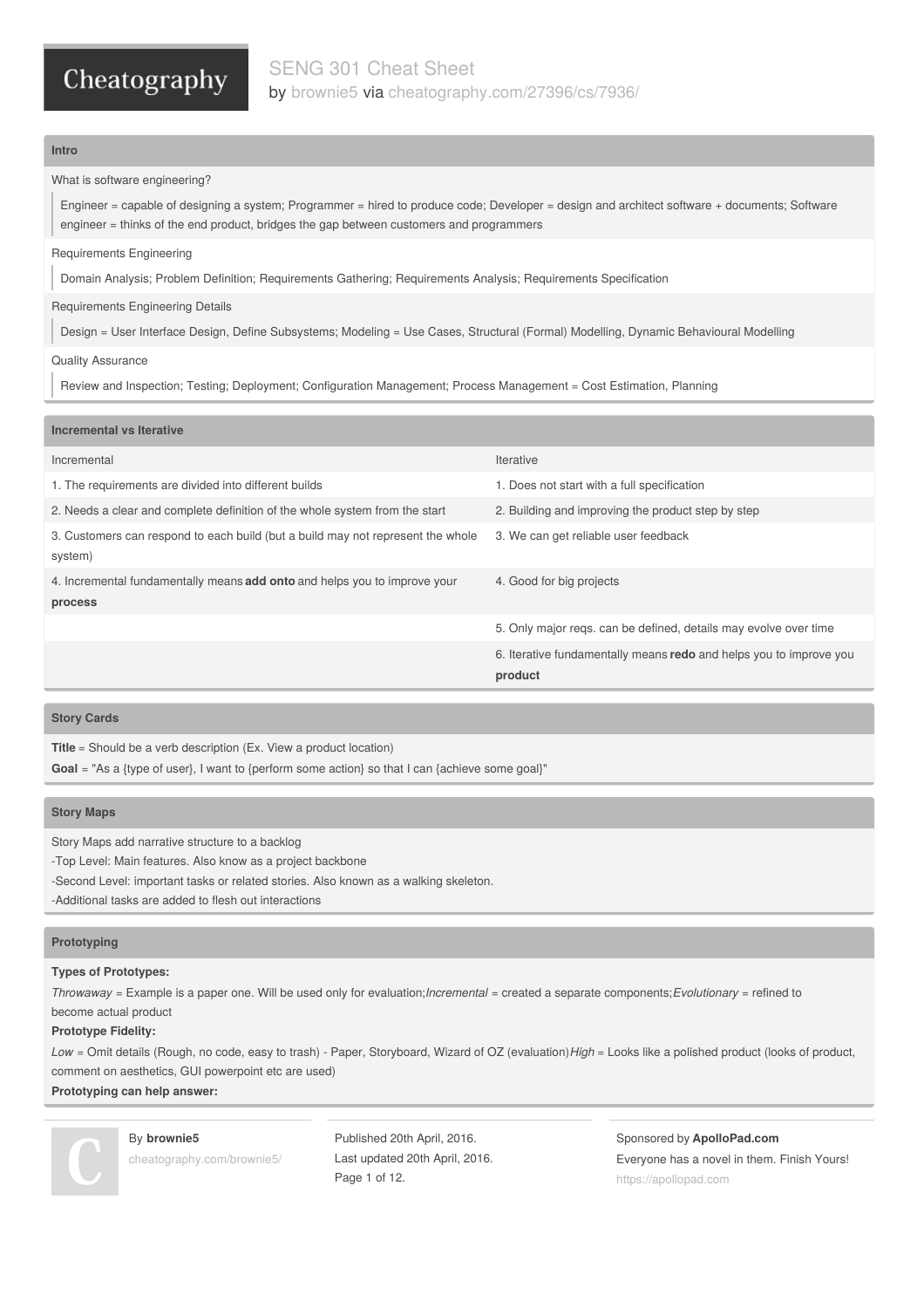### **Intro**

### What is software engineering?

Engineer = capable of designing a system; Programmer = hired to produce code; Developer = design and architect software + documents; Software engineer = thinks of the end product, bridges the gap between customers and programmers

### Requirements Engineering

Domain Analysis; Problem Definition; Requirements Gathering; Requirements Analysis; Requirements Specification

### Requirements Engineering Details

Design = User Interface Design, Define Subsystems; Modeling = Use Cases, Structural (Formal) Modelling, Dynamic Behavioural Modelling

### Quality Assurance

Review and Inspection; Testing; Deployment; Configuration Management; Process Management = Cost Estimation, Planning

### **Incremental vs Iterative**

| Iterative                                                                     |
|-------------------------------------------------------------------------------|
| 1. Does not start with a full specification                                   |
| 2. Building and improving the product step by step                            |
| 3. We can get reliable user feedback                                          |
| 4. Good for big projects                                                      |
| 5. Only major regs, can be defined, details may evolve over time              |
| 6. Iterative fundamentally means redo and helps you to improve you<br>product |
|                                                                               |

### **Story Cards**

**Title** = Should be a verb description (Ex. View a product location)

**Goal** = "As a {type of user}, I want to {perform some action} so that I can {achieve some goal}"

### **Story Maps**

Story Maps add narrative structure to a backlog

-Top Level: Main features. Also know as a project backbone

-Second Level: important tasks or related stories. Also known as a walking skeleton.

-Additional tasks are added to flesh out interactions

### **Prototyping**

### **Types of Prototypes:**

*Throwaway* = Example is a paper one. Will be used only for evaluation;*Incremental* = created a separate components;*Evolutionary* = refined to become actual product

### **Prototype Fidelity:**

*Low* = Omit details (Rough, no code, easy to trash) - Paper, Storyboard, Wizard of OZ (evaluation)*High* = Looks like a polished product (looks of product, comment on aesthetics, GUI powerpoint etc are used)

**Prototyping can help answer:**



By **brownie5** [cheatography.com/brownie5/](http://www.cheatography.com/brownie5/)

Published 20th April, 2016. Last updated 20th April, 2016. Page 1 of 12.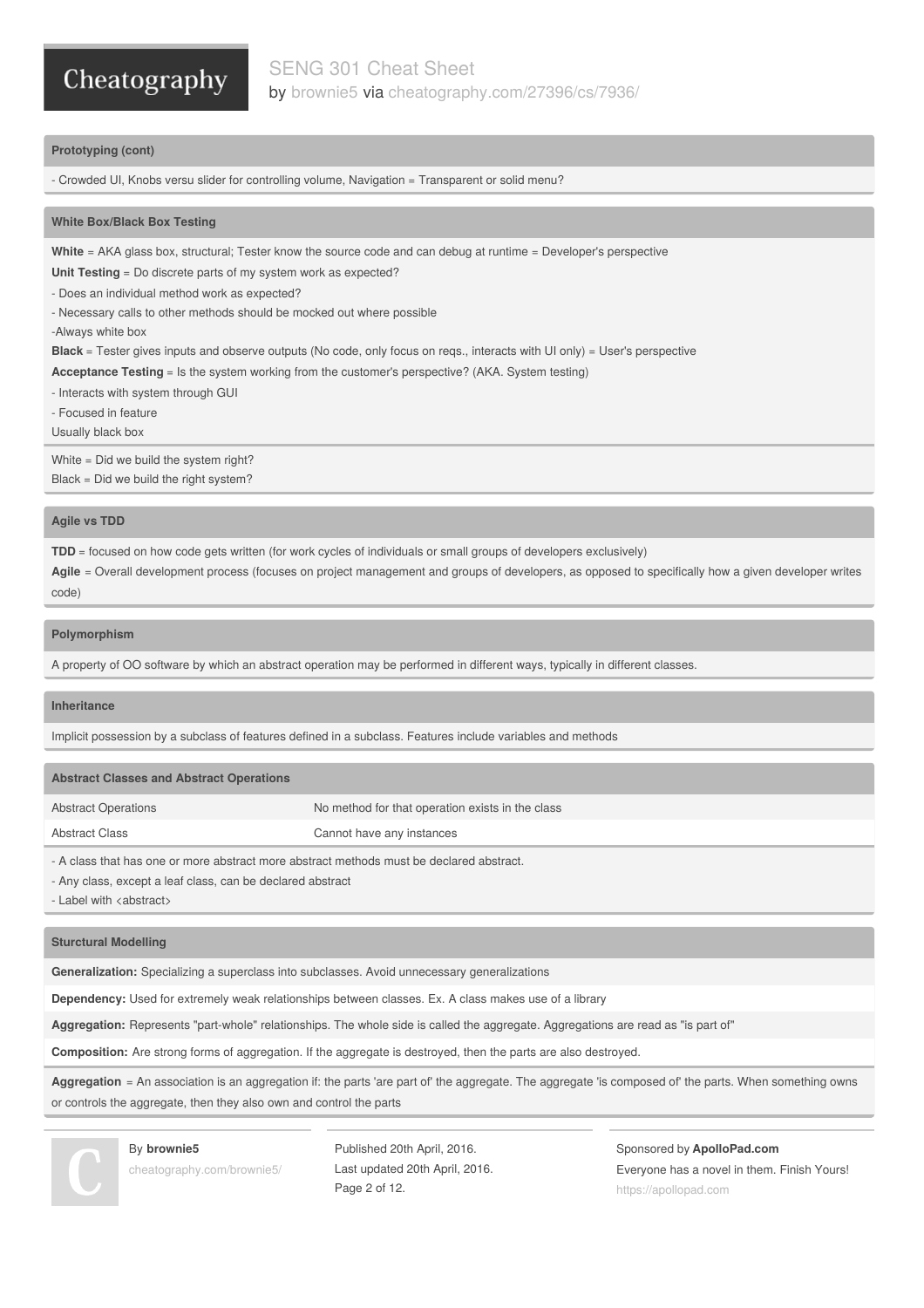### **Prototyping (cont)**

- Crowded UI, Knobs versu slider for controlling volume, Navigation = Transparent or solid menu?

### **White Box/Black Box Testing**

**White** = AKA glass box, structural; Tester know the source code and can debug at runtime = Developer's perspective

**Unit Testing** = Do discrete parts of my system work as expected?

- Does an individual method work as expected?

- Necessary calls to other methods should be mocked out where possible

-Always white box

**Black** = Tester gives inputs and observe outputs (No code, only focus on reqs., interacts with UI only) = User's perspective

**Acceptance Testing** = Is the system working from the customer's perspective? (AKA. System testing)

- Interacts with system through GUI

- Focused in feature

Usually black box

White = Did we build the system right? Black = Did we build the right system?

### **Agile vs TDD**

**TDD** = focused on how code gets written (for work cycles of individuals or small groups of developers exclusively)

Agile = Overall development process (focuses on project management and groups of developers, as opposed to specifically how a given developer writes code)

### **Polymorphism**

A property of OO software by which an abstract operation may be performed in different ways, typically in different classes.

### **Inheritance**

Implicit possession by a subclass of features defined in a subclass. Features include variables and methods

| <b>Abstract Classes and Abstract Operations</b>                                                                                                   |                                                  |  |
|---------------------------------------------------------------------------------------------------------------------------------------------------|--------------------------------------------------|--|
| <b>Abstract Operations</b>                                                                                                                        | No method for that operation exists in the class |  |
| <b>Abstract Class</b>                                                                                                                             | Cannot have any instances                        |  |
| - A class that has one or more abstract more abstract methods must be declared abstract.<br>Apuelace avec the leaf close can be declared shotrest |                                                  |  |

- Any class, except a leaf class, can be declared abstract

- Label with <abstract>

### **Sturctural Modelling**

**Generalization:** Specializing a superclass into subclasses. Avoid unnecessary generalizations

**Dependency:** Used for extremely weak relationships between classes. Ex. A class makes use of a library

**Aggregation:** Represents "part-whole" relationships. The whole side is called the aggregate. Aggregations are read as "is part of"

**Composition:** Are strong forms of aggregation. If the aggregate is destroyed, then the parts are also destroyed.

Aggregation = An association is an aggregation if: the parts 'are part of' the aggregate. The aggregate 'is composed of' the parts. When something owns or controls the aggregate, then they also own and control the parts

### By **brownie5**

[cheatography.com/brownie5/](http://www.cheatography.com/brownie5/)

Published 20th April, 2016. Last updated 20th April, 2016. Page 2 of 12.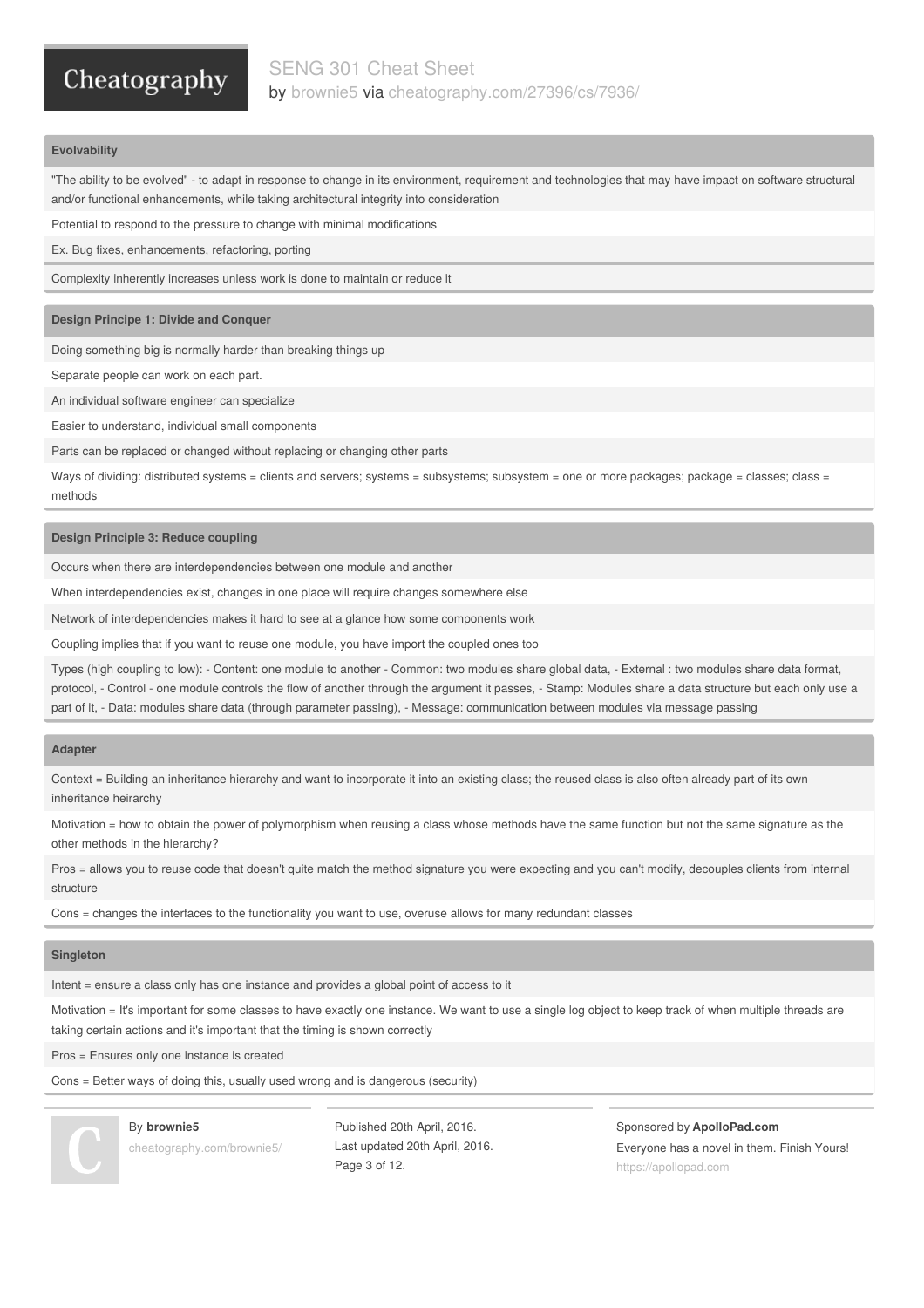### **Evolvability**

"The ability to be evolved" - to adapt in response to change in its environment, requirement and technologies that may have impact on software structural and/or functional enhancements, while taking architectural integrity into consideration

Potential to respond to the pressure to change with minimal modifications

Ex. Bug fixes, enhancements, refactoring, porting

Complexity inherently increases unless work is done to maintain or reduce it

### **Design Principe 1: Divide and Conquer**

Doing something big is normally harder than breaking things up

Separate people can work on each part.

An individual software engineer can specialize

Easier to understand, individual small components

Parts can be replaced or changed without replacing or changing other parts

Ways of dividing: distributed systems = clients and servers; systems = subsystems; subsystem = one or more packages; package = classes; class = methods

### **Design Principle 3: Reduce coupling**

Occurs when there are interdependencies between one module and another

When interdependencies exist, changes in one place will require changes somewhere else

Network of interdependencies makes it hard to see at a glance how some components work

Coupling implies that if you want to reuse one module, you have import the coupled ones too

Types (high coupling to low): - Content: one module to another - Common: two modules share global data, - External : two modules share data format, protocol, - Control - one module controls the flow of another through the argument it passes, - Stamp: Modules share a data structure but each only use a part of it, - Data: modules share data (through parameter passing), - Message: communication between modules via message passing

#### **Adapter**

Context = Building an inheritance hierarchy and want to incorporate it into an existing class; the reused class is also often already part of its own inheritance heirarchy

Motivation = how to obtain the power of polymorphism when reusing a class whose methods have the same function but not the same signature as the other methods in the hierarchy?

Pros = allows you to reuse code that doesn't quite match the method signature you were expecting and you can't modify, decouples clients from internal structure

Cons = changes the interfaces to the functionality you want to use, overuse allows for many redundant classes

#### **Singleton**

Intent = ensure a class only has one instance and provides a global point of access to it

Motivation = It's important for some classes to have exactly one instance. We want to use a single log object to keep track of when multiple threads are taking certain actions and it's important that the timing is shown correctly

Pros = Ensures only one instance is created

By **brownie5**

Cons = Better ways of doing this, usually used wrong and is dangerous (security)



[cheatography.com/brownie5/](http://www.cheatography.com/brownie5/)

Published 20th April, 2016. Last updated 20th April, 2016. Page 3 of 12.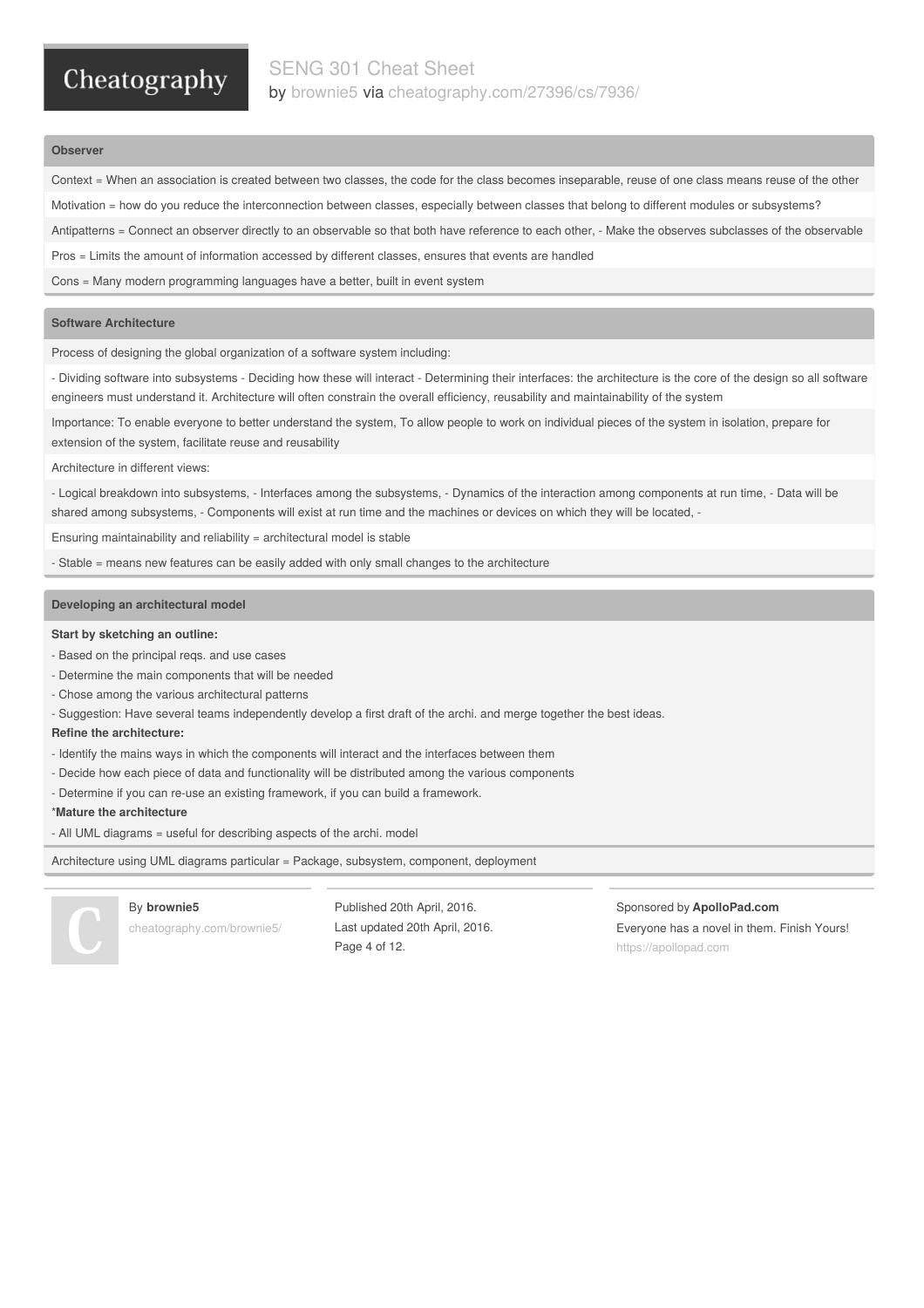### **Observer**

Context = When an association is created between two classes, the code for the class becomes inseparable, reuse of one class means reuse of the other

Motivation = how do you reduce the interconnection between classes, especially between classes that belong to different modules or subsystems?

Antipatterns = Connect an observer directly to an observable so that both have reference to each other, - Make the observes subclasses of the observable

Pros = Limits the amount of information accessed by different classes, ensures that events are handled

Cons = Many modern programming languages have a better, built in event system

### **Software Architecture**

Process of designing the global organization of a software system including:

- Dividing software into subsystems - Deciding how these will interact - Determining their interfaces: the architecture is the core of the design so all software engineers must understand it. Architecture will often constrain the overall efficiency, reusability and maintainability of the system

Importance: To enable everyone to better understand the system, To allow people to work on individual pieces of the system in isolation, prepare for extension of the system, facilitate reuse and reusability

Architecture in different views:

- Logical breakdown into subsystems, - Interfaces among the subsystems, - Dynamics of the interaction among components at run time, - Data will be shared among subsystems, - Components will exist at run time and the machines or devices on which they will be located, -

Ensuring maintainability and reliability = architectural model is stable

- Stable = means new features can be easily added with only small changes to the architecture

### **Developing an architectural model**

#### **Start by sketching an outline:**

- Based on the principal reqs. and use cases
- Determine the main components that will be needed
- Chose among the various architectural patterns

- Suggestion: Have several teams independently develop a first draft of the archi. and merge together the best ideas.

### **Refine the architecture:**

- Identify the mains ways in which the components will interact and the interfaces between them
- Decide how each piece of data and functionality will be distributed among the various components
- Determine if you can re-use an existing framework, if you can build a framework.

\***Mature the architecture**

- All UML diagrams = useful for describing aspects of the archi. model

Architecture using UML diagrams particular = Package, subsystem, component, deployment



By **brownie5**

[cheatography.com/brownie5/](http://www.cheatography.com/brownie5/)

Published 20th April, 2016. Last updated 20th April, 2016. Page 4 of 12.

Sponsored by **ApolloPad.com**

Everyone has a novel in them. Finish Yours! <https://apollopad.com>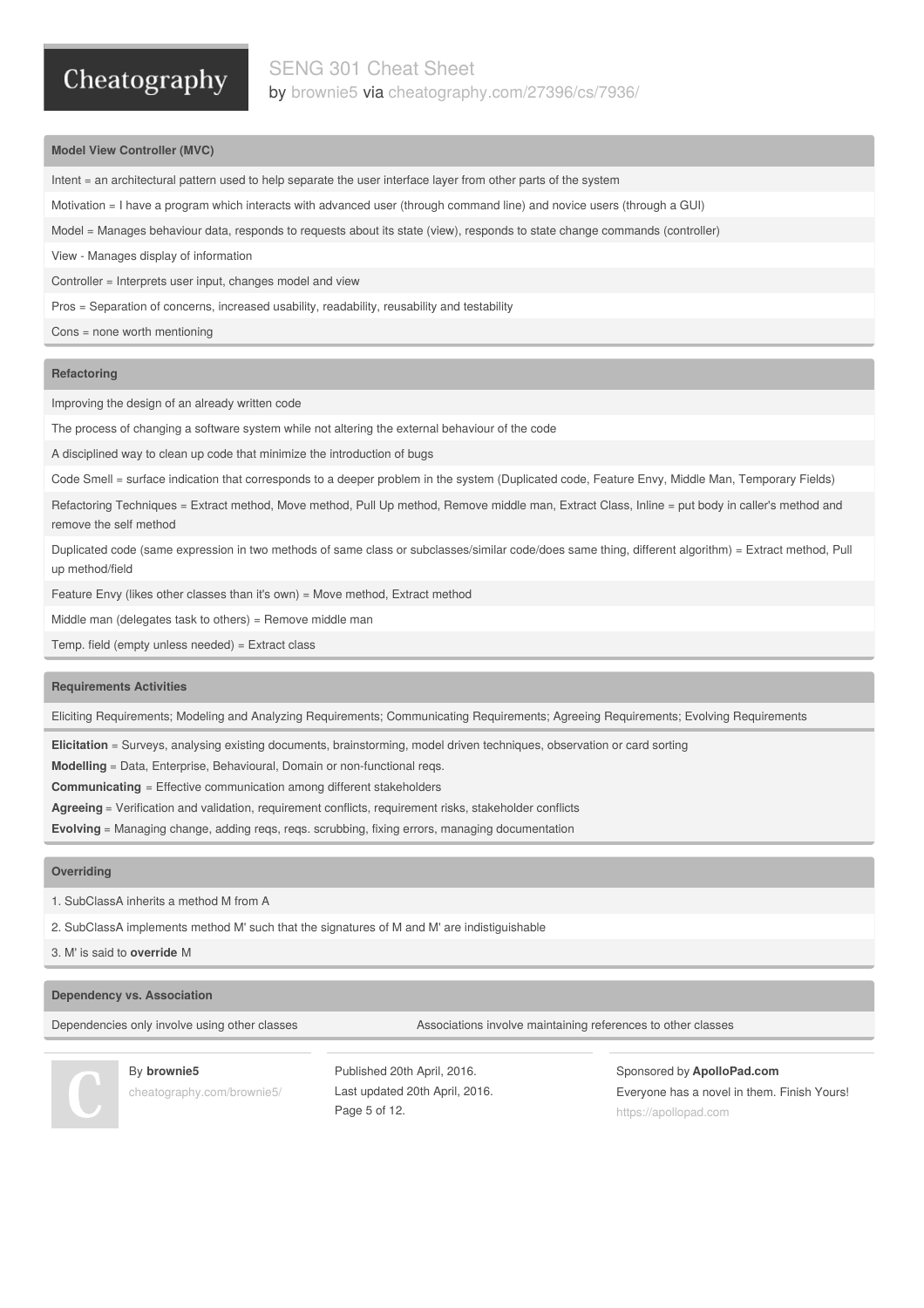### **Model View Controller (MVC)**

- Intent = an architectural pattern used to help separate the user interface layer from other parts of the system
- Motivation = I have a program which interacts with advanced user (through command line) and novice users (through a GUI)
- Model = Manages behaviour data, responds to requests about its state (view), responds to state change commands (controller)
- View Manages display of information

Controller = Interprets user input, changes model and view

Pros = Separation of concerns, increased usability, readability, reusability and testability

Cons = none worth mentioning

### **Refactoring**

Improving the design of an already written code

The process of changing a software system while not altering the external behaviour of the code

A disciplined way to clean up code that minimize the introduction of bugs

Code Smell = surface indication that corresponds to a deeper problem in the system (Duplicated code, Feature Envy, Middle Man, Temporary Fields)

Refactoring Techniques = Extract method, Move method, Pull Up method, Remove middle man, Extract Class, Inline = put body in caller's method and remove the self method

Duplicated code (same expression in two methods of same class or subclasses/similar code/does same thing, different algorithm) = Extract method, Pull up method/field

Feature Envy (likes other classes than it's own) = Move method, Extract method

Middle man (delegates task to others) = Remove middle man

Temp. field (empty unless needed) = Extract class

### **Requirements Activities**

Eliciting Requirements; Modeling and Analyzing Requirements; Communicating Requirements; Agreeing Requirements; Evolving Requirements

**Elicitation** = Surveys, analysing existing documents, brainstorming, model driven techniques, observation or card sorting

**Modelling** = Data, Enterprise, Behavioural, Domain or non-functional reqs.

**Communicating** = Effective communication among different stakeholders

**Agreeing** = Verification and validation, requirement conflicts, requirement risks, stakeholder conflicts

**Evolving** = Managing change, adding reqs, reqs. scrubbing, fixing errors, managing documentation

#### **Overriding**

1. SubClassA inherits a method M from A

2. SubClassA implements method M' such that the signatures of M and M' are indistiguishable

3. M' is said to **override** M

### **Dependency vs. Association**

Dependencies only involve using other classes Associations involve maintaining references to other classes



By **brownie5**

[cheatography.com/brownie5/](http://www.cheatography.com/brownie5/)

Published 20th April, 2016. Last updated 20th April, 2016. Page 5 of 12.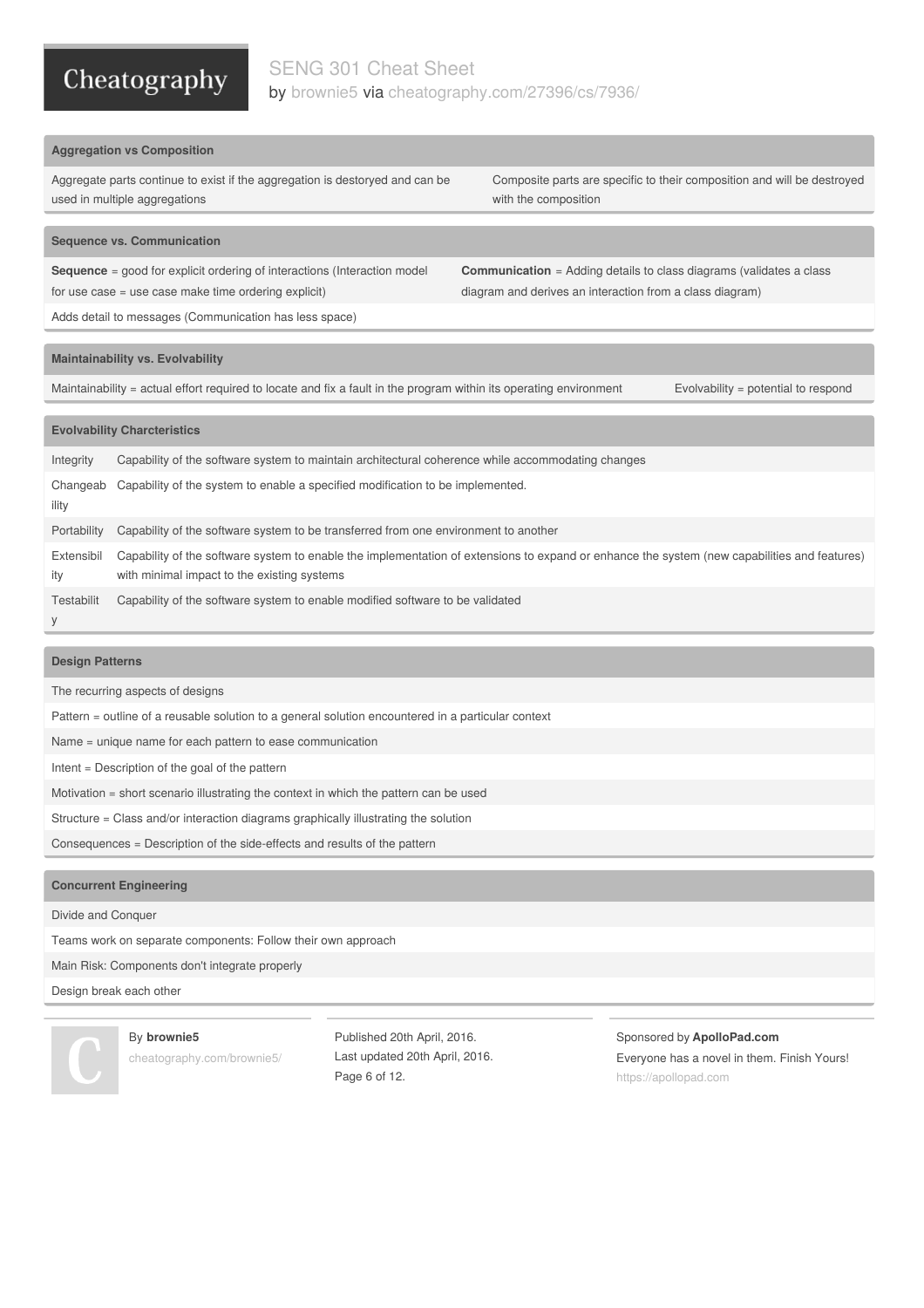### SENG 301 Cheat Sheet by [brownie5](http://www.cheatography.com/brownie5/) via [cheatography.com/27396/cs/7936/](http://www.cheatography.com/brownie5/cheat-sheets/seng-301)

### **Aggregation vs Composition**

Aggregate parts continue to exist if the aggregation is destoryed and can be used in multiple aggregations

Composite parts are specific to their composition and will be destroyed with the composition

**Communication** = Adding details to class diagrams (validates a class

diagram and derives an interaction from a class diagram)

### **Sequence vs. Communication**

**Sequence** = good for explicit ordering of interactions (Interaction model for use case = use case make time ordering explicit)

Adds detail to messages (Communication has less space)

### **Maintainability vs. Evolvability**

Maintainability = actual effort required to locate and fix a fault in the program within its operating environment Evolvability = potential to respond

### **Evolvability Charcteristics**

| Integrity         | Capability of the software system to maintain architectural coherence while accommodating changes                                                                                           |
|-------------------|---------------------------------------------------------------------------------------------------------------------------------------------------------------------------------------------|
| Changeab<br>ility | Capability of the system to enable a specified modification to be implemented.                                                                                                              |
| Portability       | Capability of the software system to be transferred from one environment to another                                                                                                         |
| Extensibil<br>ity | Capability of the software system to enable the implementation of extensions to expand or enhance the system (new capabilities and features)<br>with minimal impact to the existing systems |
| Testabilit<br>У   | Capability of the software system to enable modified software to be validated                                                                                                               |

### **Design Patterns**

The recurring aspects of designs

Pattern = outline of a reusable solution to a general solution encountered in a particular context

Name = unique name for each pattern to ease communication

Intent = Description of the goal of the pattern

Motivation = short scenario illustrating the context in which the pattern can be used

Structure = Class and/or interaction diagrams graphically illustrating the solution

Consequences = Description of the side-effects and results of the pattern

### **Concurrent Engineering**

Divide and Conquer

Teams work on separate components: Follow their own approach

Main Risk: Components don't integrate properly

### Design break each other

By **brownie5** [cheatography.com/brownie5/](http://www.cheatography.com/brownie5/)

Published 20th April, 2016. Last updated 20th April, 2016. Page 6 of 12.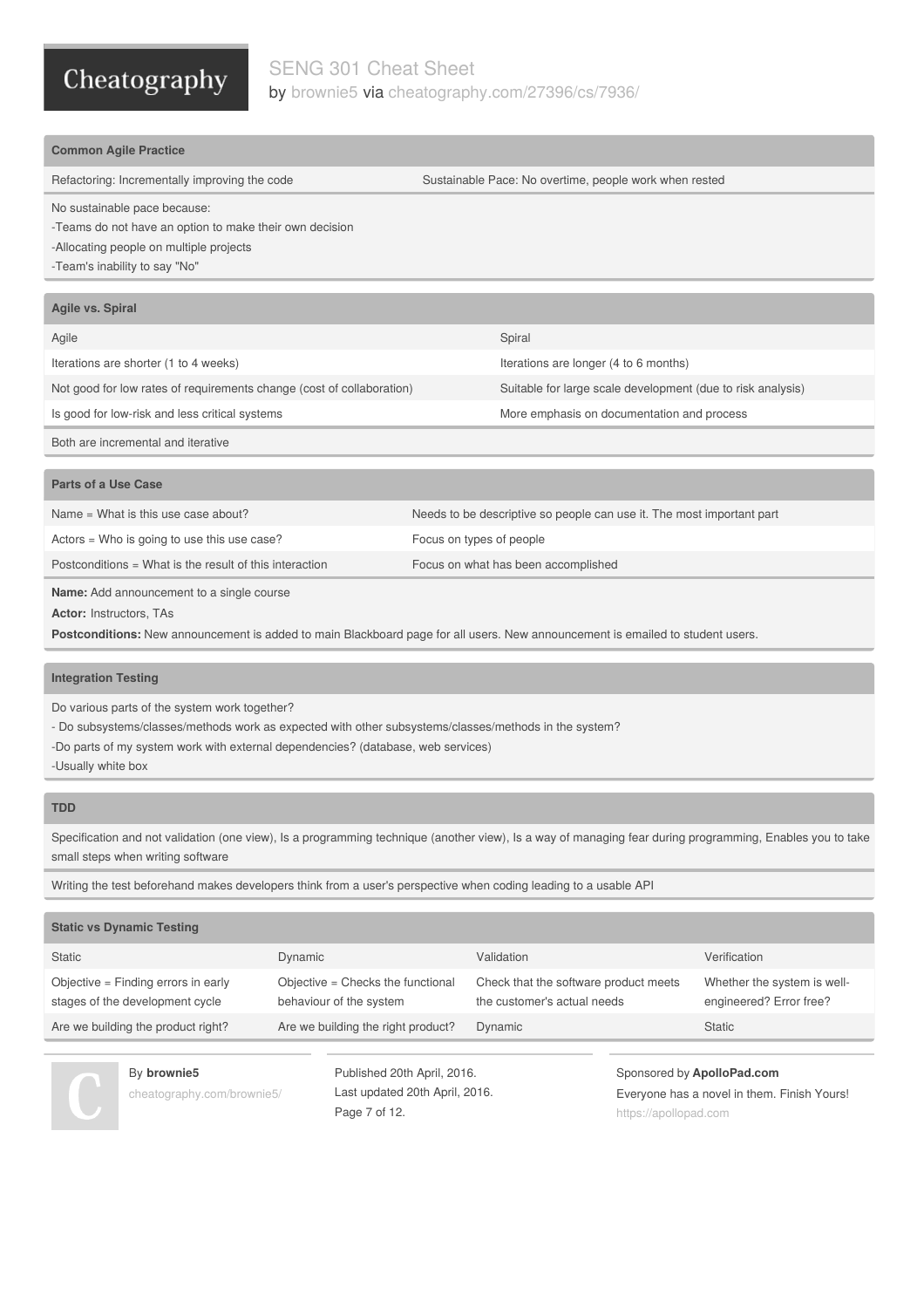### SENG 301 Cheat Sheet by [brownie5](http://www.cheatography.com/brownie5/) via [cheatography.com/27396/cs/7936/](http://www.cheatography.com/brownie5/cheat-sheets/seng-301)

| <b>Common Agile Practice</b>                                          |                                                                       |
|-----------------------------------------------------------------------|-----------------------------------------------------------------------|
| Refactoring: Incrementally improving the code                         | Sustainable Pace: No overtime, people work when rested                |
| No sustainable pace because:                                          |                                                                       |
| -Teams do not have an option to make their own decision               |                                                                       |
| -Allocating people on multiple projects                               |                                                                       |
| -Team's inability to say "No"                                         |                                                                       |
|                                                                       |                                                                       |
| Agile vs. Spiral                                                      |                                                                       |
| Agile                                                                 | Spiral                                                                |
| Iterations are shorter (1 to 4 weeks)                                 | Iterations are longer (4 to 6 months)                                 |
| Not good for low rates of requirements change (cost of collaboration) | Suitable for large scale development (due to risk analysis)           |
| Is good for low-risk and less critical systems                        | More emphasis on documentation and process                            |
| Both are incremental and iterative                                    |                                                                       |
|                                                                       |                                                                       |
| Parts of a Use Case                                                   |                                                                       |
| Name = What is this use case about?                                   | Needs to be descriptive so people can use it. The most important part |

**Name:** Add announcement to a single course

**Actor:** Instructors, TAs

**Postconditions:** New announcement is added to main Blackboard page for all users. New announcement is emailed to student users.

### **Integration Testing**

Do various parts of the system work together?

- Do subsystems/classes/methods work as expected with other subsystems/classes/methods in the system?

Postconditions = What is the result of this interaction Focus on what has been accomplished

-Do parts of my system work with external dependencies? (database, web services)

Actors = Who is going to use this use case? Focus on types of people

-Usually white box

### **TDD**

Specification and not validation (one view), Is a programming technique (another view), Is a way of managing fear during programming, Enables you to take small steps when writing software

Writing the test beforehand makes developers think from a user's perspective when coding leading to a usable API

| <b>Static vs Dynamic Testing</b>                                       |                                                              |                                                                      |                                                        |
|------------------------------------------------------------------------|--------------------------------------------------------------|----------------------------------------------------------------------|--------------------------------------------------------|
| <b>Static</b>                                                          | Dynamic                                                      | Validation                                                           | Verification                                           |
| Objective = Finding errors in early<br>stages of the development cycle | Objective = Checks the functional<br>behaviour of the system | Check that the software product meets<br>the customer's actual needs | Whether the system is well-<br>engineered? Error free? |
| Are we building the product right?                                     | Are we building the right product?                           | Dynamic                                                              | <b>Static</b>                                          |

By **brownie5** [cheatography.com/brownie5/](http://www.cheatography.com/brownie5/)

Published 20th April, 2016. Last updated 20th April, 2016. Page 7 of 12.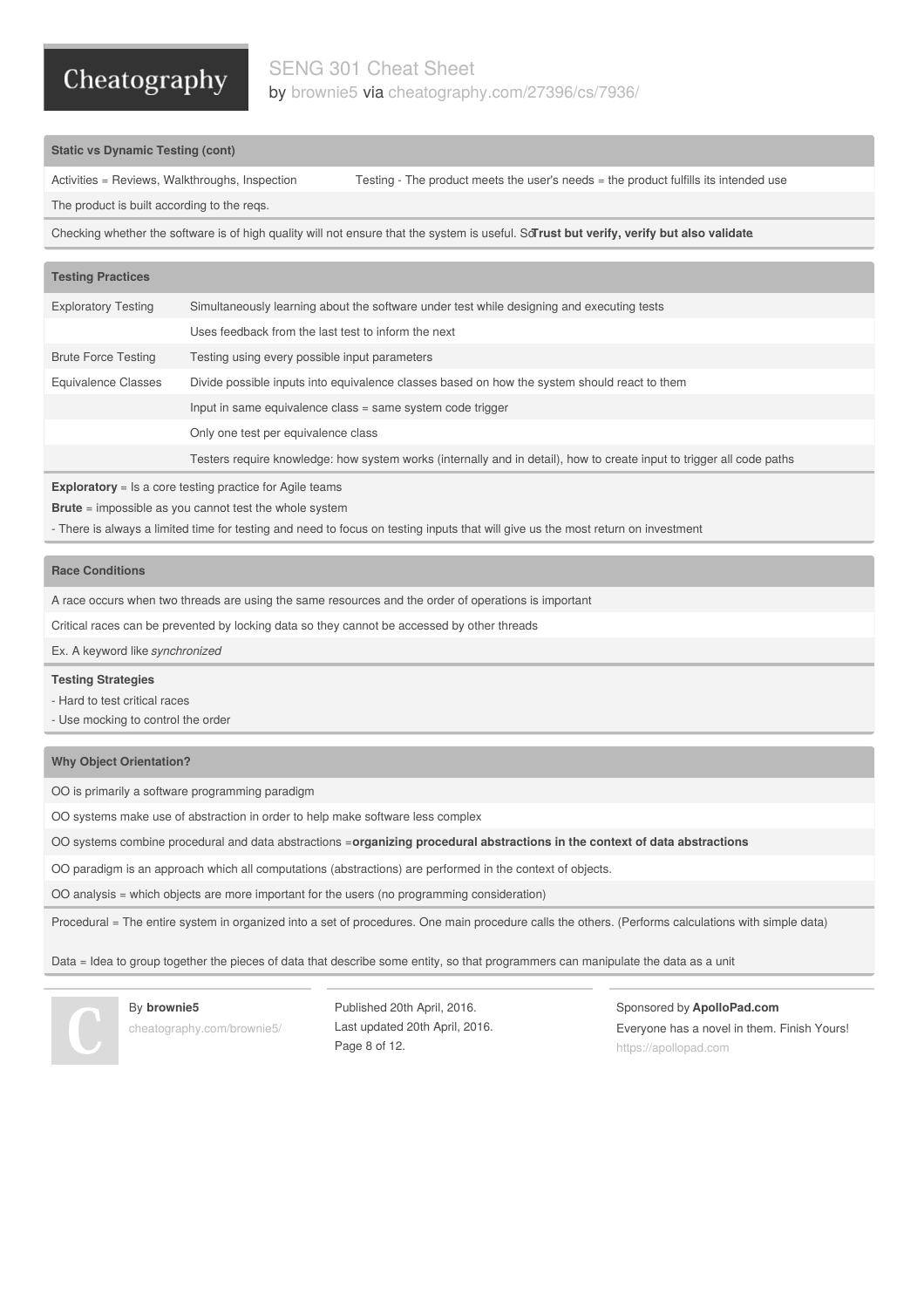### SENG 301 Cheat Sheet by [brownie5](http://www.cheatography.com/brownie5/) via [cheatography.com/27396/cs/7936/](http://www.cheatography.com/brownie5/cheat-sheets/seng-301)

### **Static vs Dynamic Testing (cont)**

Activities = Reviews, Walkthroughs, Inspection Testing - The product meets the user's needs = the product fulfills its intended use

The product is built according to the reqs.

Checking whether the software is of high quality will not ensure that the system is useful. So**Trust but verify, verify but also validate**.

| <b>Testing Practices</b>   |                                                                                                                       |
|----------------------------|-----------------------------------------------------------------------------------------------------------------------|
| <b>Exploratory Testing</b> | Simultaneously learning about the software under test while designing and executing tests                             |
|                            | Uses feedback from the last test to inform the next                                                                   |
| <b>Brute Force Testing</b> | Testing using every possible input parameters                                                                         |
| Equivalence Classes        | Divide possible inputs into equivalence classes based on how the system should react to them                          |
|                            | Input in same equivalence class = same system code trigger                                                            |
|                            | Only one test per equivalence class                                                                                   |
|                            | Testers require knowledge: how system works (internally and in detail), how to create input to trigger all code paths |

**Exploratory** = Is a core testing practice for Agile teams

**Brute** = impossible as you cannot test the whole system

- There is always a limited time for testing and need to focus on testing inputs that will give us the most return on investment

### **Race Conditions**

A race occurs when two threads are using the same resources and the order of operations is important

Critical races can be prevented by locking data so they cannot be accessed by other threads

Ex. A keyword like *synchronized*

#### **Testing Strategies**

- Hard to test critical races

- Use mocking to control the order

### **Why Object Orientation?**

OO is primarily a software programming paradigm

OO systems make use of abstraction in order to help make software less complex

OO systems combine procedural and data abstractions =**organizing procedural abstractions in the context of data abstractions**

OO paradigm is an approach which all computations (abstractions) are performed in the context of objects.

OO analysis = which objects are more important for the users (no programming consideration)

Procedural = The entire system in organized into a set of procedures. One main procedure calls the others. (Performs calculations with simple data)

Data = Idea to group together the pieces of data that describe some entity, so that programmers can manipulate the data as a unit

#### By **brownie5**

[cheatography.com/brownie5/](http://www.cheatography.com/brownie5/)

Published 20th April, 2016. Last updated 20th April, 2016. Page 8 of 12.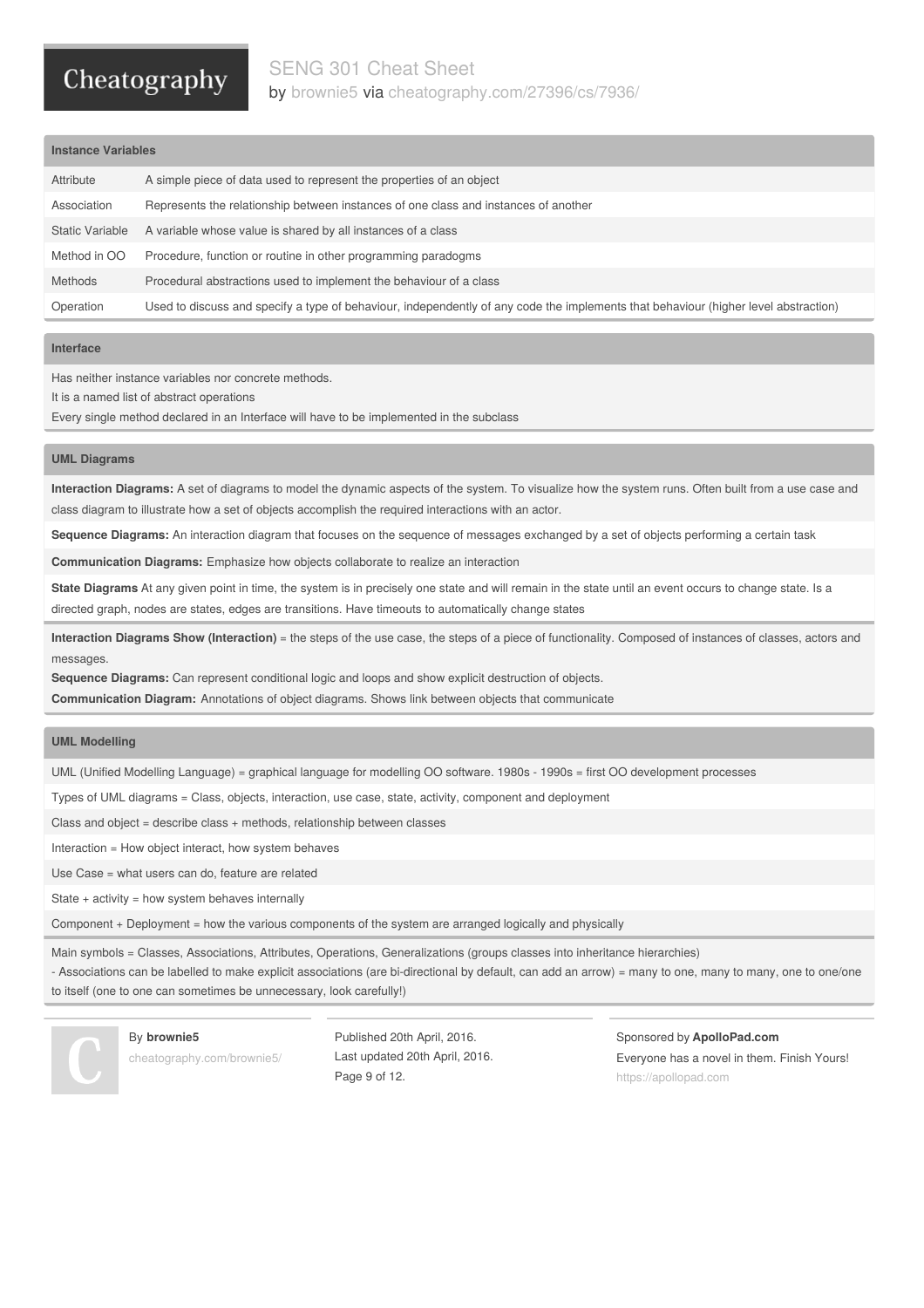### SENG 301 Cheat Sheet

# Cheatography

by [brownie5](http://www.cheatography.com/brownie5/) via [cheatography.com/27396/cs/7936/](http://www.cheatography.com/brownie5/cheat-sheets/seng-301)

### **Instance Variables**

| Attribute       | A simple piece of data used to represent the properties of an object                                                                |
|-----------------|-------------------------------------------------------------------------------------------------------------------------------------|
| Association     | Represents the relationship between instances of one class and instances of another                                                 |
| Static Variable | A variable whose value is shared by all instances of a class                                                                        |
| Method in OO    | Procedure, function or routine in other programming paradogms                                                                       |
| <b>Methods</b>  | Procedural abstractions used to implement the behaviour of a class                                                                  |
| Operation       | Used to discuss and specify a type of behaviour, independently of any code the implements that behaviour (higher level abstraction) |

### **Interface**

Has neither instance variables nor concrete methods.

It is a named list of abstract operations

Every single method declared in an Interface will have to be implemented in the subclass

### **UML Diagrams**

**Interaction Diagrams:** A set of diagrams to model the dynamic aspects of the system. To visualize how the system runs. Often built from a use case and class diagram to illustrate how a set of objects accomplish the required interactions with an actor.

**Sequence Diagrams:** An interaction diagram that focuses on the sequence of messages exchanged by a set of objects performing a certain task

**Communication Diagrams:** Emphasize how objects collaborate to realize an interaction

**State Diagrams** At any given point in time, the system is in precisely one state and will remain in the state until an event occurs to change state. Is a directed graph, nodes are states, edges are transitions. Have timeouts to automatically change states

**Interaction Diagrams Show (Interaction)** = the steps of the use case, the steps of a piece of functionality. Composed of instances of classes, actors and messages.

**Sequence Diagrams:** Can represent conditional logic and loops and show explicit destruction of objects.

**Communication Diagram:** Annotations of object diagrams. Shows link between objects that communicate

### **UML Modelling**

UML (Unified Modelling Language) = graphical language for modelling OO software. 1980s - 1990s = first OO development processes

Types of UML diagrams = Class, objects, interaction, use case, state, activity, component and deployment

Class and object = describe class + methods, relationship between classes

Interaction = How object interact, how system behaves

Use Case = what users can do, feature are related

State  $+$  activity = how system behaves internally

Component + Deployment = how the various components of the system are arranged logically and physically

Main symbols = Classes, Associations, Attributes, Operations, Generalizations (groups classes into inheritance hierarchies)

- Associations can be labelled to make explicit associations (are bi-directional by default, can add an arrow) = many to one, many to many, one to one/one to itself (one to one can sometimes be unnecessary, look carefully!)

By **brownie5**

[cheatography.com/brownie5/](http://www.cheatography.com/brownie5/)

Published 20th April, 2016. Last updated 20th April, 2016. Page 9 of 12.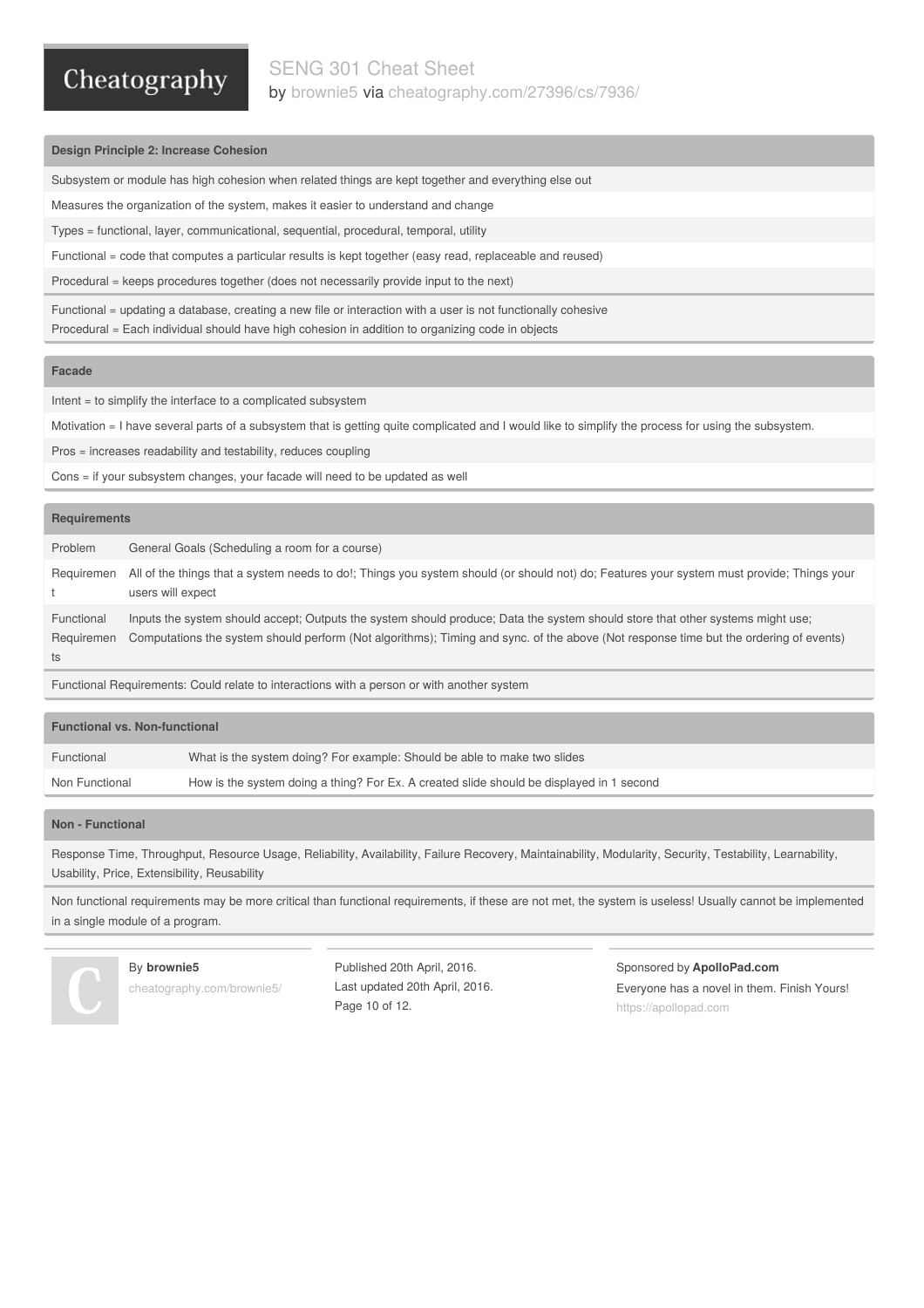### SENG 301 Cheat Sheet by [brownie5](http://www.cheatography.com/brownie5/) via [cheatography.com/27396/cs/7936/](http://www.cheatography.com/brownie5/cheat-sheets/seng-301)

### **Design Principle 2: Increase Cohesion**

Subsystem or module has high cohesion when related things are kept together and everything else out

Measures the organization of the system, makes it easier to understand and change

Types = functional, layer, communicational, sequential, procedural, temporal, utility

Functional = code that computes a particular results is kept together (easy read, replaceable and reused)

Procedural = keeps procedures together (does not necessarily provide input to the next)

Functional = updating a database, creating a new file or interaction with a user is not functionally cohesive Procedural = Each individual should have high cohesion in addition to organizing code in objects

### **Facade**

Intent = to simplify the interface to a complicated subsystem

Motivation = I have several parts of a subsystem that is getting quite complicated and I would like to simplify the process for using the subsystem.

Pros = increases readability and testability, reduces coupling

Cons = if your subsystem changes, your facade will need to be updated as well

### **Requirements**

| Problem                        | General Goals (Scheduling a room for a course)                                                                                                                                                                                                                          |
|--------------------------------|-------------------------------------------------------------------------------------------------------------------------------------------------------------------------------------------------------------------------------------------------------------------------|
| Requiremen                     | All of the things that a system needs to do!; Things you system should (or should not) do; Features your system must provide; Things your<br>users will expect                                                                                                          |
| Functional<br>Requiremen<br>ts | Inputs the system should accept; Outputs the system should produce; Data the system should store that other systems might use;<br>Computations the system should perform (Not algorithms); Timing and sync. of the above (Not response time but the ordering of events) |

Functional Requirements: Could relate to interactions with a person or with another system

| <b>Functional vs. Non-functional</b> |                                                                                          |
|--------------------------------------|------------------------------------------------------------------------------------------|
| Functional                           | What is the system doing? For example: Should be able to make two slides                 |
| Non Functional                       | How is the system doing a thing? For Ex. A created slide should be displayed in 1 second |

### **Non - Functional**

Response Time, Throughput, Resource Usage, Reliability, Availability, Failure Recovery, Maintainability, Modularity, Security, Testability, Learnability, Usability, Price, Extensibility, Reusability

Non functional requirements may be more critical than functional requirements, if these are not met, the system is useless! Usually cannot be implemented in a single module of a program.



### By **brownie5**

[cheatography.com/brownie5/](http://www.cheatography.com/brownie5/)

Published 20th April, 2016. Last updated 20th April, 2016. Page 10 of 12.

Sponsored by **ApolloPad.com**

Everyone has a novel in them. Finish Yours! <https://apollopad.com>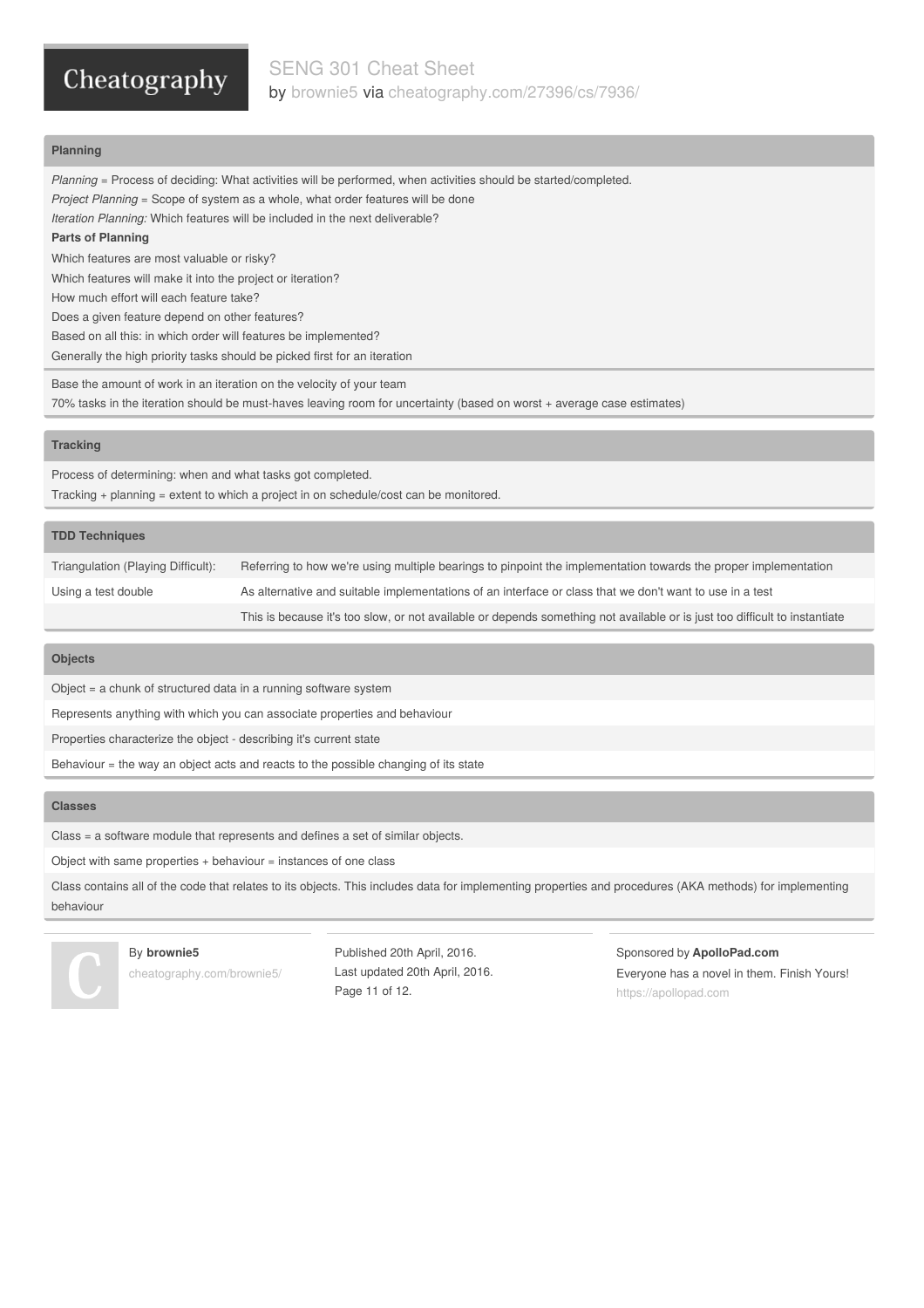SENG 301 Cheat Sheet by [brownie5](http://www.cheatography.com/brownie5/) via [cheatography.com/27396/cs/7936/](http://www.cheatography.com/brownie5/cheat-sheets/seng-301)

### **Planning**

*Planning* = Process of deciding: What activities will be performed, when activities should be started/completed. *Project Planning* = Scope of system as a whole, what order features will be done *Iteration Planning:* Which features will be included in the next deliverable? **Parts of Planning** Which features are most valuable or risky? Which features will make it into the project or iteration? How much effort will each feature take? Does a given feature depend on other features? Based on all this: in which order will features be implemented? Generally the high priority tasks should be picked first for an iteration

Base the amount of work in an iteration on the velocity of your team 70% tasks in the iteration should be must-haves leaving room for uncertainty (based on worst + average case estimates)

#### **Tracking**

Process of determining: when and what tasks got completed. Tracking + planning = extent to which a project in on schedule/cost can be monitored.

### **TDD Techniques**

| Triangulation (Playing Difficult): | Referring to how we're using multiple bearings to pinpoint the implementation towards the proper implementation            |
|------------------------------------|----------------------------------------------------------------------------------------------------------------------------|
| Using a test double                | As alternative and suitable implementations of an interface or class that we don't want to use in a test                   |
|                                    | This is because it's too slow, or not available or depends something not available or is just too difficult to instantiate |

### **Objects**

Object = a chunk of structured data in a running software system

Represents anything with which you can associate properties and behaviour

Properties characterize the object - describing it's current state

Behaviour = the way an object acts and reacts to the possible changing of its state

### **Classes**

Class = a software module that represents and defines a set of similar objects.

Object with same properties + behaviour = instances of one class

Class contains all of the code that relates to its objects. This includes data for implementing properties and procedures (AKA methods) for implementing behaviour



#### By **brownie5**

[cheatography.com/brownie5/](http://www.cheatography.com/brownie5/)

Published 20th April, 2016. Last updated 20th April, 2016. Page 11 of 12.